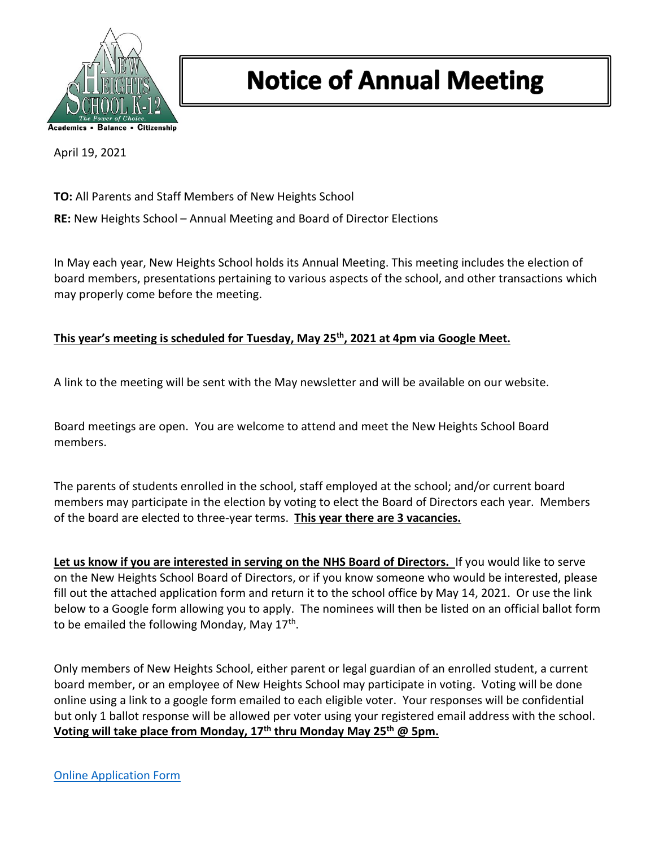

## **Notice of Annual Meeting**

April 19, 2021

**TO:** All Parents and Staff Members of New Heights School

**RE:** New Heights School – Annual Meeting and Board of Director Elections

In May each year, New Heights School holds its Annual Meeting. This meeting includes the election of board members, presentations pertaining to various aspects of the school, and other transactions which may properly come before the meeting.

## **This year's meeting is scheduled for Tuesday, May 25th, 2021 at 4pm via Google Meet.**

A link to the meeting will be sent with the May newsletter and will be available on our website.

Board meetings are open. You are welcome to attend and meet the New Heights School Board members.

The parents of students enrolled in the school, staff employed at the school; and/or current board members may participate in the election by voting to elect the Board of Directors each year. Members of the board are elected to three-year terms. **This year there are 3 vacancies.**

**Let us know if you are interested in serving on the NHS Board of Directors.** If you would like to serve on the New Heights School Board of Directors, or if you know someone who would be interested, please fill out the attached application form and return it to the school office by May 14, 2021. Or use the link below to a Google form allowing you to apply. The nominees will then be listed on an official ballot form to be emailed the following Monday, May 17<sup>th</sup>.

Only members of New Heights School, either parent or legal guardian of an enrolled student, a current board member, or an employee of New Heights School may participate in voting. Voting will be done online using a link to a google form emailed to each eligible voter. Your responses will be confidential but only 1 ballot response will be allowed per voter using your registered email address with the school. **Voting will take place from Monday, 17th thru Monday May 25th @ 5pm.**